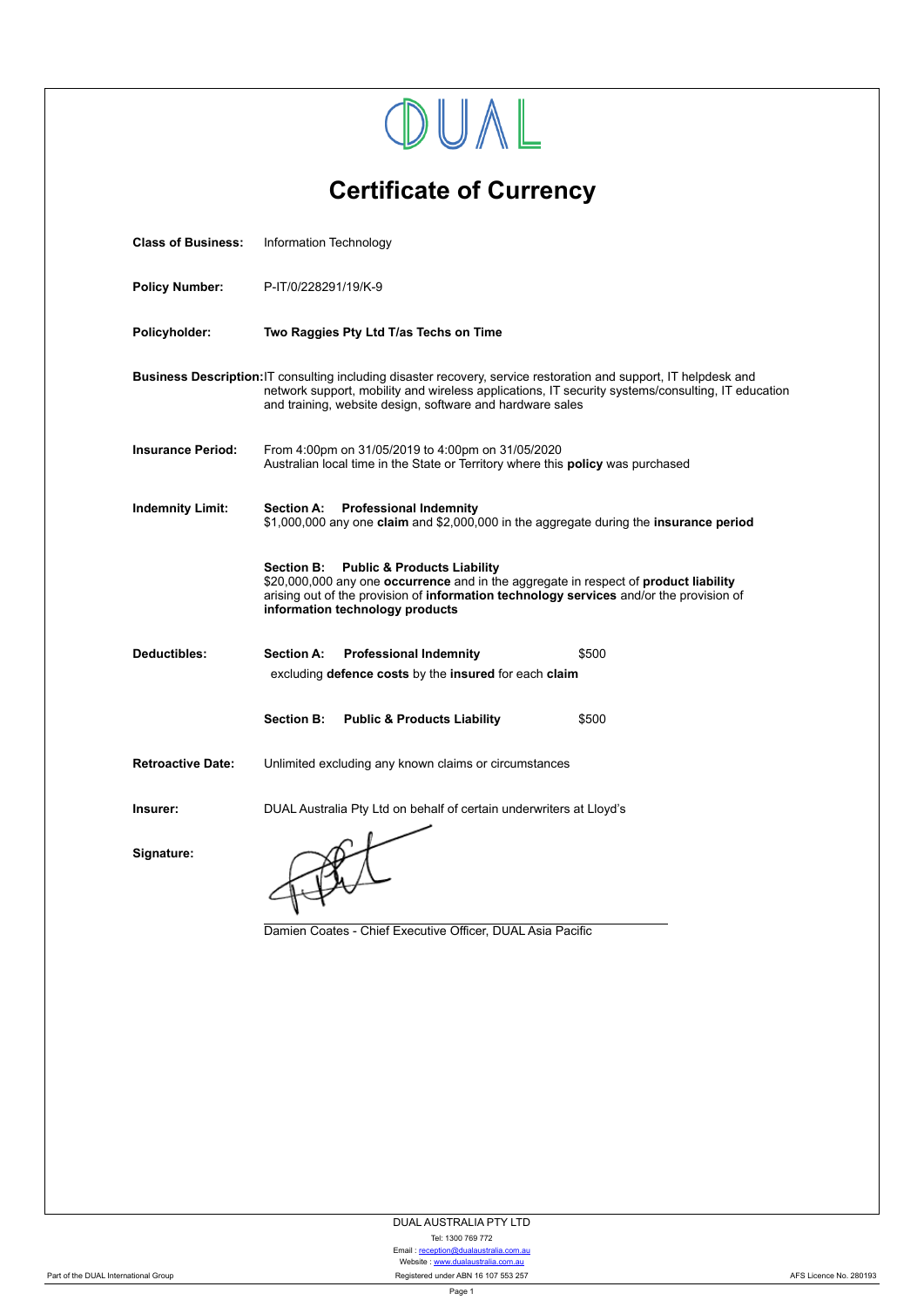|                                                                                                                                                                                                                                                                                     | DUAL                                                                                                                                                                                                                                                                              |  |  |  |  |  |
|-------------------------------------------------------------------------------------------------------------------------------------------------------------------------------------------------------------------------------------------------------------------------------------|-----------------------------------------------------------------------------------------------------------------------------------------------------------------------------------------------------------------------------------------------------------------------------------|--|--|--|--|--|
| <b>Certificate of Currency</b>                                                                                                                                                                                                                                                      |                                                                                                                                                                                                                                                                                   |  |  |  |  |  |
| <b>Class of Business:</b>                                                                                                                                                                                                                                                           | Information Technology                                                                                                                                                                                                                                                            |  |  |  |  |  |
| <b>Policy Number:</b>                                                                                                                                                                                                                                                               | P-IT/0/228291/19/K-9                                                                                                                                                                                                                                                              |  |  |  |  |  |
| Policyholder:                                                                                                                                                                                                                                                                       | Two Raggies Pty Ltd T/as Techs on Time                                                                                                                                                                                                                                            |  |  |  |  |  |
| Business Description: IT consulting including disaster recovery, service restoration and support, IT helpdesk and<br>network support, mobility and wireless applications, IT security systems/consulting, IT education<br>and training, website design, software and hardware sales |                                                                                                                                                                                                                                                                                   |  |  |  |  |  |
| <b>Insurance Period:</b>                                                                                                                                                                                                                                                            | From 4:00pm on 31/05/2019 to 4:00pm on 31/05/2020<br>Australian local time in the State or Territory where this <b>policy</b> was purchased                                                                                                                                       |  |  |  |  |  |
| <b>Indemnity Limit:</b>                                                                                                                                                                                                                                                             | <b>Professional Indemnity</b><br><b>Section A:</b><br>\$1,000,000 any one claim and \$2,000,000 in the aggregate during the insurance period                                                                                                                                      |  |  |  |  |  |
|                                                                                                                                                                                                                                                                                     | <b>Public &amp; Products Liability</b><br><b>Section B:</b><br>\$20,000,000 any one occurrence and in the aggregate in respect of product liability<br>arising out of the provision of information technology services and/or the provision of<br>information technology products |  |  |  |  |  |
| Deductibles:                                                                                                                                                                                                                                                                        | <b>Section A:</b><br><b>Professional Indemnity</b><br>\$500                                                                                                                                                                                                                       |  |  |  |  |  |
|                                                                                                                                                                                                                                                                                     | excluding defence costs by the insured for each claim                                                                                                                                                                                                                             |  |  |  |  |  |
|                                                                                                                                                                                                                                                                                     | Section B: Public & Products Liability<br>\$500                                                                                                                                                                                                                                   |  |  |  |  |  |
| <b>Retroactive Date:</b>                                                                                                                                                                                                                                                            | Unlimited excluding any known claims or circumstances                                                                                                                                                                                                                             |  |  |  |  |  |
| Insurer:                                                                                                                                                                                                                                                                            | DUAL Australia Pty Ltd on behalf of certain underwriters at Lloyd's                                                                                                                                                                                                               |  |  |  |  |  |
| Signature:                                                                                                                                                                                                                                                                          | Damien Coates - Chief Executive Officer, DUAL Asia Pacific                                                                                                                                                                                                                        |  |  |  |  |  |
|                                                                                                                                                                                                                                                                                     |                                                                                                                                                                                                                                                                                   |  |  |  |  |  |

DUAL AUSTRALIA PTY LTD

Tel: 1300 769 772<br>Email : <u>reception@dualaustralia.com.au</u><br>Website : <u><www.dualaustralia.com.au></u> Part of the DUAL International Group **Registered ABN 16 107 553 257** AFS Licence No. 280193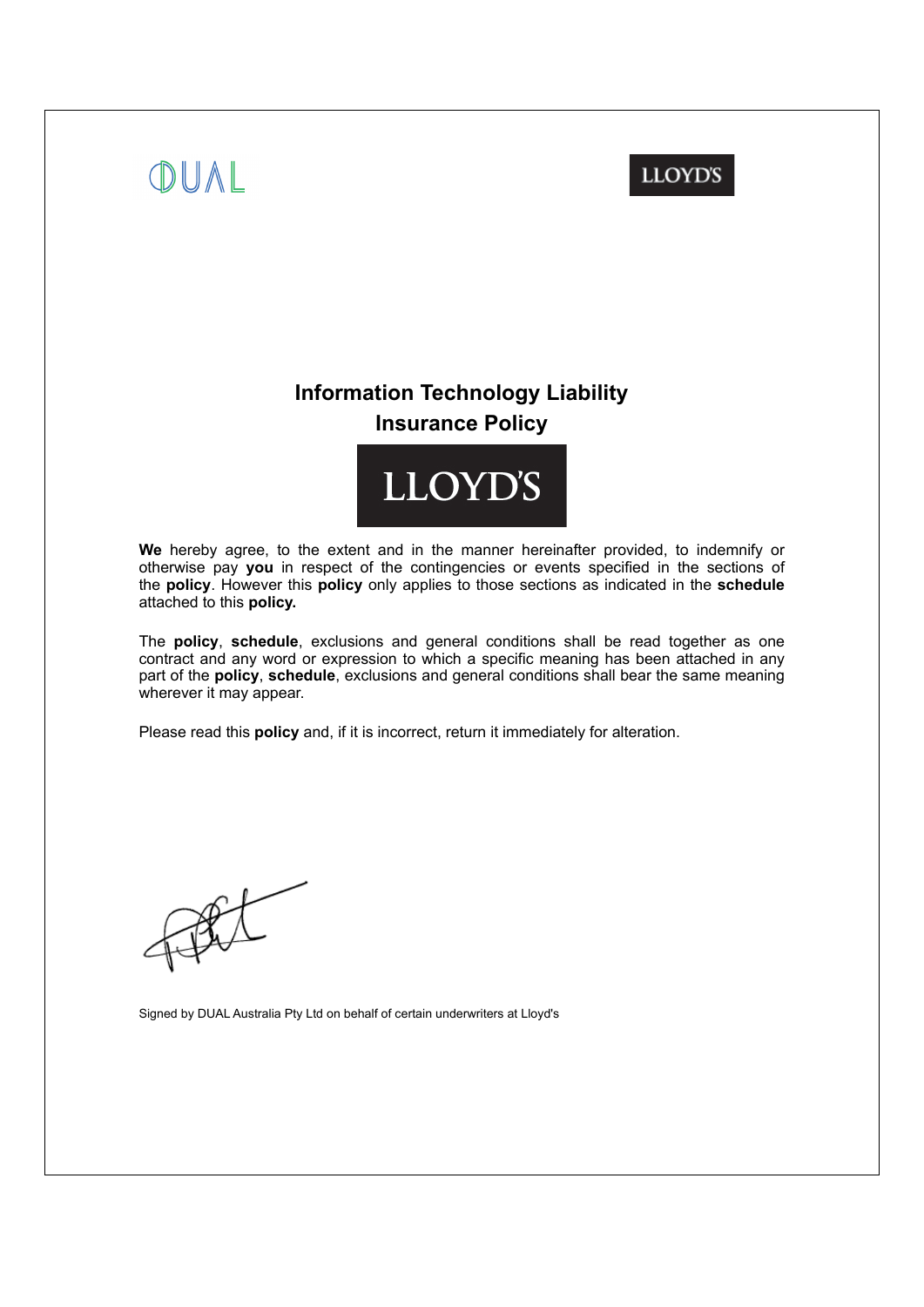## **LLOYD'S**

## **Information Technology Liability Insurance Policy**



We hereby agree, to the extent and in the manner hereinafter provided, to indemnify or otherwise pay **you** in respect of the contingencies or events specified in the sections of the **policy**. However this **policy** only applies to those sections as indicated in the **schedule** attached to this **policy.**

The **policy**, **schedule**, exclusions and general conditions shall be read together as one contract and any word or expression to which a specific meaning has been attached in any part of the **policy**, **schedule**, exclusions and general conditions shall bear the same meaning wherever it may appear.

Please read this **policy** and, if it is incorrect, return it immediately for alteration.

OUAL

Signed by DUAL Australia Pty Ltd on behalf of certain underwriters at Lloyd's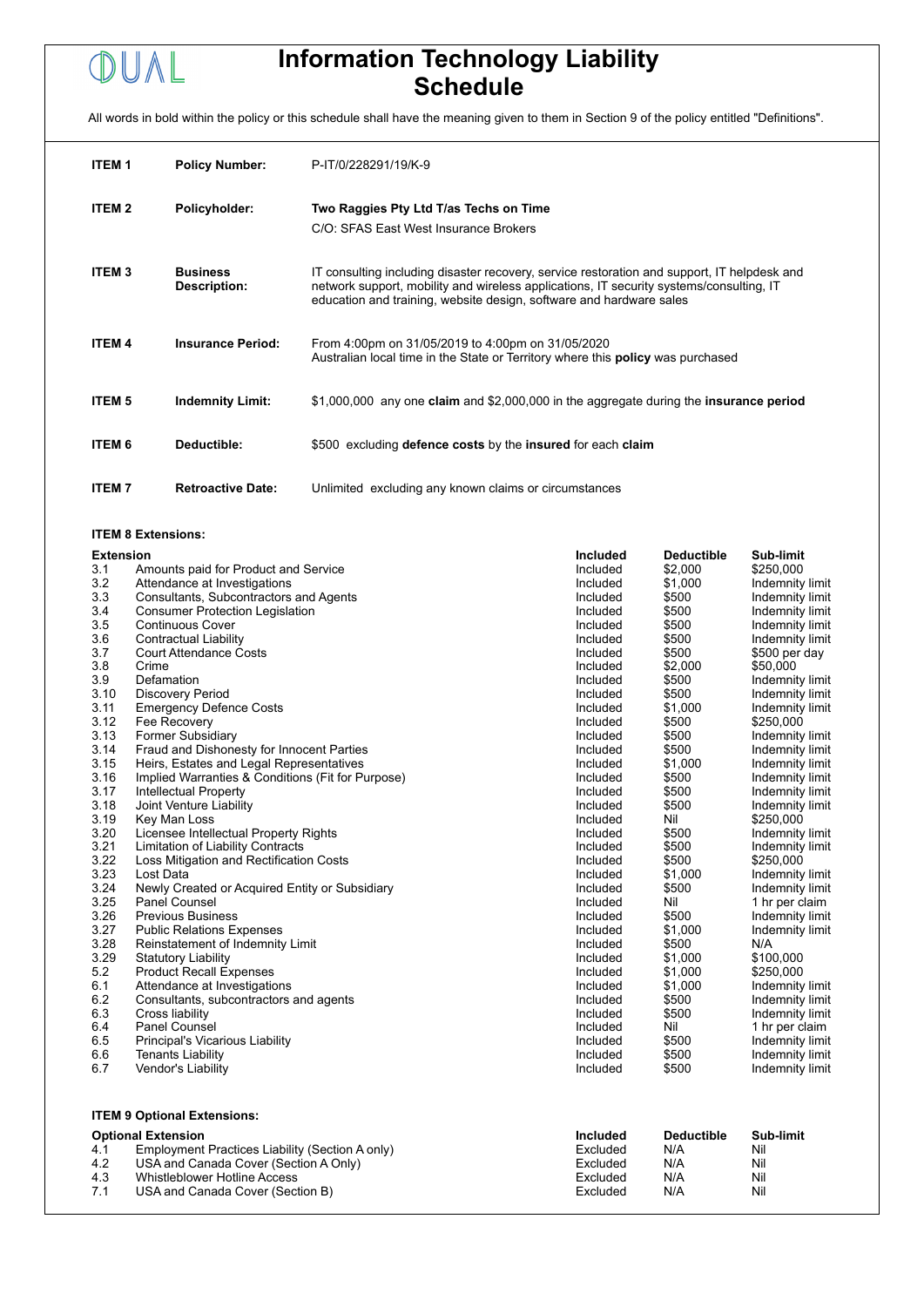# OUAL

## **Information Technology Liability Schedule**

All words in bold within the policy or this schedule shall have the meaning given to them in Section 9 of the policy entitled "Definitions".

| <b>ITEM1</b>  | <b>Policy Number:</b>           | P-IT/0/228291/19/K-9                                                                                                                                                                                                                                          |
|---------------|---------------------------------|---------------------------------------------------------------------------------------------------------------------------------------------------------------------------------------------------------------------------------------------------------------|
| <b>ITEM2</b>  | Policyholder:                   | Two Raggies Pty Ltd T/as Techs on Time<br>C/O: SFAS East West Insurance Brokers                                                                                                                                                                               |
| <b>ITEM3</b>  | <b>Business</b><br>Description: | IT consulting including disaster recovery, service restoration and support, IT helpdesk and<br>network support, mobility and wireless applications, IT security systems/consulting, IT<br>education and training, website design, software and hardware sales |
| <b>ITEM 4</b> | <b>Insurance Period:</b>        | From 4:00pm on 31/05/2019 to 4:00pm on 31/05/2020<br>Australian local time in the State or Territory where this <b>policy</b> was purchased                                                                                                                   |
| <b>ITEM 5</b> | <b>Indemnity Limit:</b>         | \$1,000,000 any one claim and \$2,000,000 in the aggregate during the insurance period                                                                                                                                                                        |
| <b>ITEM 6</b> | Deductible:                     | \$500 excluding defence costs by the insured for each claim                                                                                                                                                                                                   |
| <b>ITEM7</b>  | <b>Retroactive Date:</b>        | Unlimited excluding any known claims or circumstances                                                                                                                                                                                                         |

#### **ITEM 8 Extensions:**

| 3.1<br>Included<br>\$2,000<br>\$250,000<br>Amounts paid for Product and Service<br>3.2<br>\$1,000<br>Attendance at Investigations<br>Included<br>Indemnity limit<br>3.3<br>\$500<br>Consultants, Subcontractors and Agents<br>Indemnity limit<br>Included<br>3.4<br>\$500<br><b>Consumer Protection Legislation</b><br>Indemnity limit<br>Included<br>3.5<br><b>Continuous Cover</b><br>\$500<br>Included<br>Indemnity limit<br>3.6<br><b>Contractual Liability</b><br>Included<br>\$500<br>Indemnity limit<br>3.7<br><b>Court Attendance Costs</b><br>\$500<br>Included<br>\$500 per day<br>3.8<br>Crime<br>\$2,000<br>\$50,000<br>Included<br>3.9<br>Defamation<br>\$500<br>Included<br>Indemnity limit<br>3.10<br><b>Discovery Period</b><br>\$500<br>Included<br>Indemnity limit<br>3.11<br><b>Emergency Defence Costs</b><br>Included<br>\$1,000<br>Indemnity limit<br>3.12<br>Fee Recovery<br>\$500<br>\$250,000<br>Included<br>3.13<br>Former Subsidiary<br>\$500<br>Included<br>Indemnity limit<br>3.14<br>Fraud and Dishonesty for Innocent Parties<br>\$500<br>Included<br>Indemnity limit<br>3.15<br>Heirs, Estates and Legal Representatives<br>\$1,000<br>Indemnity limit<br>Included<br>3.16<br>Implied Warranties & Conditions (Fit for Purpose)<br>\$500<br>Included<br>Indemnity limit<br>3.17<br>\$500<br>Intellectual Property<br>Included<br>Indemnity limit<br>3.18<br>Joint Venture Liability<br>\$500<br>Included<br>Indemnity limit |  |  |  |  |
|-------------------------------------------------------------------------------------------------------------------------------------------------------------------------------------------------------------------------------------------------------------------------------------------------------------------------------------------------------------------------------------------------------------------------------------------------------------------------------------------------------------------------------------------------------------------------------------------------------------------------------------------------------------------------------------------------------------------------------------------------------------------------------------------------------------------------------------------------------------------------------------------------------------------------------------------------------------------------------------------------------------------------------------------------------------------------------------------------------------------------------------------------------------------------------------------------------------------------------------------------------------------------------------------------------------------------------------------------------------------------------------------------------------------------------------------------------------|--|--|--|--|
|                                                                                                                                                                                                                                                                                                                                                                                                                                                                                                                                                                                                                                                                                                                                                                                                                                                                                                                                                                                                                                                                                                                                                                                                                                                                                                                                                                                                                                                             |  |  |  |  |
|                                                                                                                                                                                                                                                                                                                                                                                                                                                                                                                                                                                                                                                                                                                                                                                                                                                                                                                                                                                                                                                                                                                                                                                                                                                                                                                                                                                                                                                             |  |  |  |  |
|                                                                                                                                                                                                                                                                                                                                                                                                                                                                                                                                                                                                                                                                                                                                                                                                                                                                                                                                                                                                                                                                                                                                                                                                                                                                                                                                                                                                                                                             |  |  |  |  |
|                                                                                                                                                                                                                                                                                                                                                                                                                                                                                                                                                                                                                                                                                                                                                                                                                                                                                                                                                                                                                                                                                                                                                                                                                                                                                                                                                                                                                                                             |  |  |  |  |
|                                                                                                                                                                                                                                                                                                                                                                                                                                                                                                                                                                                                                                                                                                                                                                                                                                                                                                                                                                                                                                                                                                                                                                                                                                                                                                                                                                                                                                                             |  |  |  |  |
|                                                                                                                                                                                                                                                                                                                                                                                                                                                                                                                                                                                                                                                                                                                                                                                                                                                                                                                                                                                                                                                                                                                                                                                                                                                                                                                                                                                                                                                             |  |  |  |  |
|                                                                                                                                                                                                                                                                                                                                                                                                                                                                                                                                                                                                                                                                                                                                                                                                                                                                                                                                                                                                                                                                                                                                                                                                                                                                                                                                                                                                                                                             |  |  |  |  |
|                                                                                                                                                                                                                                                                                                                                                                                                                                                                                                                                                                                                                                                                                                                                                                                                                                                                                                                                                                                                                                                                                                                                                                                                                                                                                                                                                                                                                                                             |  |  |  |  |
|                                                                                                                                                                                                                                                                                                                                                                                                                                                                                                                                                                                                                                                                                                                                                                                                                                                                                                                                                                                                                                                                                                                                                                                                                                                                                                                                                                                                                                                             |  |  |  |  |
|                                                                                                                                                                                                                                                                                                                                                                                                                                                                                                                                                                                                                                                                                                                                                                                                                                                                                                                                                                                                                                                                                                                                                                                                                                                                                                                                                                                                                                                             |  |  |  |  |
|                                                                                                                                                                                                                                                                                                                                                                                                                                                                                                                                                                                                                                                                                                                                                                                                                                                                                                                                                                                                                                                                                                                                                                                                                                                                                                                                                                                                                                                             |  |  |  |  |
|                                                                                                                                                                                                                                                                                                                                                                                                                                                                                                                                                                                                                                                                                                                                                                                                                                                                                                                                                                                                                                                                                                                                                                                                                                                                                                                                                                                                                                                             |  |  |  |  |
|                                                                                                                                                                                                                                                                                                                                                                                                                                                                                                                                                                                                                                                                                                                                                                                                                                                                                                                                                                                                                                                                                                                                                                                                                                                                                                                                                                                                                                                             |  |  |  |  |
|                                                                                                                                                                                                                                                                                                                                                                                                                                                                                                                                                                                                                                                                                                                                                                                                                                                                                                                                                                                                                                                                                                                                                                                                                                                                                                                                                                                                                                                             |  |  |  |  |
|                                                                                                                                                                                                                                                                                                                                                                                                                                                                                                                                                                                                                                                                                                                                                                                                                                                                                                                                                                                                                                                                                                                                                                                                                                                                                                                                                                                                                                                             |  |  |  |  |
|                                                                                                                                                                                                                                                                                                                                                                                                                                                                                                                                                                                                                                                                                                                                                                                                                                                                                                                                                                                                                                                                                                                                                                                                                                                                                                                                                                                                                                                             |  |  |  |  |
|                                                                                                                                                                                                                                                                                                                                                                                                                                                                                                                                                                                                                                                                                                                                                                                                                                                                                                                                                                                                                                                                                                                                                                                                                                                                                                                                                                                                                                                             |  |  |  |  |
|                                                                                                                                                                                                                                                                                                                                                                                                                                                                                                                                                                                                                                                                                                                                                                                                                                                                                                                                                                                                                                                                                                                                                                                                                                                                                                                                                                                                                                                             |  |  |  |  |
| 3.19<br>Key Man Loss<br>Nil<br>\$250,000<br>Included                                                                                                                                                                                                                                                                                                                                                                                                                                                                                                                                                                                                                                                                                                                                                                                                                                                                                                                                                                                                                                                                                                                                                                                                                                                                                                                                                                                                        |  |  |  |  |
| 3.20<br>Licensee Intellectual Property Rights<br>Included<br>\$500<br>Indemnity limit                                                                                                                                                                                                                                                                                                                                                                                                                                                                                                                                                                                                                                                                                                                                                                                                                                                                                                                                                                                                                                                                                                                                                                                                                                                                                                                                                                       |  |  |  |  |
| 3.21<br>Limitation of Liability Contracts<br>Included<br>\$500<br>Indemnity limit                                                                                                                                                                                                                                                                                                                                                                                                                                                                                                                                                                                                                                                                                                                                                                                                                                                                                                                                                                                                                                                                                                                                                                                                                                                                                                                                                                           |  |  |  |  |
| 3.22<br>Loss Mitigation and Rectification Costs<br>\$500<br>Included<br>\$250,000                                                                                                                                                                                                                                                                                                                                                                                                                                                                                                                                                                                                                                                                                                                                                                                                                                                                                                                                                                                                                                                                                                                                                                                                                                                                                                                                                                           |  |  |  |  |
| 3.23<br>Lost Data<br>Included<br>\$1,000<br>Indemnity limit                                                                                                                                                                                                                                                                                                                                                                                                                                                                                                                                                                                                                                                                                                                                                                                                                                                                                                                                                                                                                                                                                                                                                                                                                                                                                                                                                                                                 |  |  |  |  |
| 3.24<br>Newly Created or Acquired Entity or Subsidiary<br>\$500<br>Included<br>Indemnity limit                                                                                                                                                                                                                                                                                                                                                                                                                                                                                                                                                                                                                                                                                                                                                                                                                                                                                                                                                                                                                                                                                                                                                                                                                                                                                                                                                              |  |  |  |  |
| 3.25<br>Nil<br>Panel Counsel<br>1 hr per claim<br>Included                                                                                                                                                                                                                                                                                                                                                                                                                                                                                                                                                                                                                                                                                                                                                                                                                                                                                                                                                                                                                                                                                                                                                                                                                                                                                                                                                                                                  |  |  |  |  |
| 3.26<br><b>Previous Business</b><br>Included<br>\$500<br>Indemnity limit                                                                                                                                                                                                                                                                                                                                                                                                                                                                                                                                                                                                                                                                                                                                                                                                                                                                                                                                                                                                                                                                                                                                                                                                                                                                                                                                                                                    |  |  |  |  |
| 3.27<br>\$1,000<br>Indemnity limit<br><b>Public Relations Expenses</b><br>Included                                                                                                                                                                                                                                                                                                                                                                                                                                                                                                                                                                                                                                                                                                                                                                                                                                                                                                                                                                                                                                                                                                                                                                                                                                                                                                                                                                          |  |  |  |  |
| 3.28<br>Reinstatement of Indemnity Limit<br>Included<br>\$500<br>N/A                                                                                                                                                                                                                                                                                                                                                                                                                                                                                                                                                                                                                                                                                                                                                                                                                                                                                                                                                                                                                                                                                                                                                                                                                                                                                                                                                                                        |  |  |  |  |
| 3.29<br>\$1,000<br>\$100,000<br><b>Statutory Liability</b><br>Included                                                                                                                                                                                                                                                                                                                                                                                                                                                                                                                                                                                                                                                                                                                                                                                                                                                                                                                                                                                                                                                                                                                                                                                                                                                                                                                                                                                      |  |  |  |  |
| 5.2<br><b>Product Recall Expenses</b><br>\$1,000<br>\$250,000<br>Included                                                                                                                                                                                                                                                                                                                                                                                                                                                                                                                                                                                                                                                                                                                                                                                                                                                                                                                                                                                                                                                                                                                                                                                                                                                                                                                                                                                   |  |  |  |  |
| 6.1<br>Attendance at Investigations<br>\$1,000<br>Indemnity limit<br>Included                                                                                                                                                                                                                                                                                                                                                                                                                                                                                                                                                                                                                                                                                                                                                                                                                                                                                                                                                                                                                                                                                                                                                                                                                                                                                                                                                                               |  |  |  |  |
| 6.2<br>\$500<br>Consultants, subcontractors and agents<br>Included<br>Indemnity limit                                                                                                                                                                                                                                                                                                                                                                                                                                                                                                                                                                                                                                                                                                                                                                                                                                                                                                                                                                                                                                                                                                                                                                                                                                                                                                                                                                       |  |  |  |  |
| 6.3<br>Cross liability<br>\$500<br>Included<br>Indemnity limit                                                                                                                                                                                                                                                                                                                                                                                                                                                                                                                                                                                                                                                                                                                                                                                                                                                                                                                                                                                                                                                                                                                                                                                                                                                                                                                                                                                              |  |  |  |  |
| 6.4<br>Panel Counsel<br>Included<br>Nil<br>1 hr per claim                                                                                                                                                                                                                                                                                                                                                                                                                                                                                                                                                                                                                                                                                                                                                                                                                                                                                                                                                                                                                                                                                                                                                                                                                                                                                                                                                                                                   |  |  |  |  |
| 6.5<br>Principal's Vicarious Liability<br>\$500<br>Indemnity limit<br>Included                                                                                                                                                                                                                                                                                                                                                                                                                                                                                                                                                                                                                                                                                                                                                                                                                                                                                                                                                                                                                                                                                                                                                                                                                                                                                                                                                                              |  |  |  |  |
| 6.6<br><b>Tenants Liability</b><br>Included<br>\$500<br>Indemnity limit                                                                                                                                                                                                                                                                                                                                                                                                                                                                                                                                                                                                                                                                                                                                                                                                                                                                                                                                                                                                                                                                                                                                                                                                                                                                                                                                                                                     |  |  |  |  |
| 6.7<br>Vendor's Liability<br>Included<br>\$500<br>Indemnity limit                                                                                                                                                                                                                                                                                                                                                                                                                                                                                                                                                                                                                                                                                                                                                                                                                                                                                                                                                                                                                                                                                                                                                                                                                                                                                                                                                                                           |  |  |  |  |
| <b>ITEM 9 Optional Extensions:</b>                                                                                                                                                                                                                                                                                                                                                                                                                                                                                                                                                                                                                                                                                                                                                                                                                                                                                                                                                                                                                                                                                                                                                                                                                                                                                                                                                                                                                          |  |  |  |  |
| <b>Optional Extension</b><br>Sub-limit<br><b>Included</b><br><b>Deductible</b>                                                                                                                                                                                                                                                                                                                                                                                                                                                                                                                                                                                                                                                                                                                                                                                                                                                                                                                                                                                                                                                                                                                                                                                                                                                                                                                                                                              |  |  |  |  |
| 4.1<br>Employment Practices Liability (Section A only)<br>Excluded<br>N/A<br>Nil                                                                                                                                                                                                                                                                                                                                                                                                                                                                                                                                                                                                                                                                                                                                                                                                                                                                                                                                                                                                                                                                                                                                                                                                                                                                                                                                                                            |  |  |  |  |
| 4.2<br>USA and Canada Cover (Section A Only)<br>Excluded<br>N/A<br>Nil                                                                                                                                                                                                                                                                                                                                                                                                                                                                                                                                                                                                                                                                                                                                                                                                                                                                                                                                                                                                                                                                                                                                                                                                                                                                                                                                                                                      |  |  |  |  |
| 4.3<br><b>Whistleblower Hotline Access</b><br>Excluded<br>N/A<br>Nil                                                                                                                                                                                                                                                                                                                                                                                                                                                                                                                                                                                                                                                                                                                                                                                                                                                                                                                                                                                                                                                                                                                                                                                                                                                                                                                                                                                        |  |  |  |  |
| 7.1<br>N/A<br>Nil<br>USA and Canada Cover (Section B)<br>Excluded                                                                                                                                                                                                                                                                                                                                                                                                                                                                                                                                                                                                                                                                                                                                                                                                                                                                                                                                                                                                                                                                                                                                                                                                                                                                                                                                                                                           |  |  |  |  |